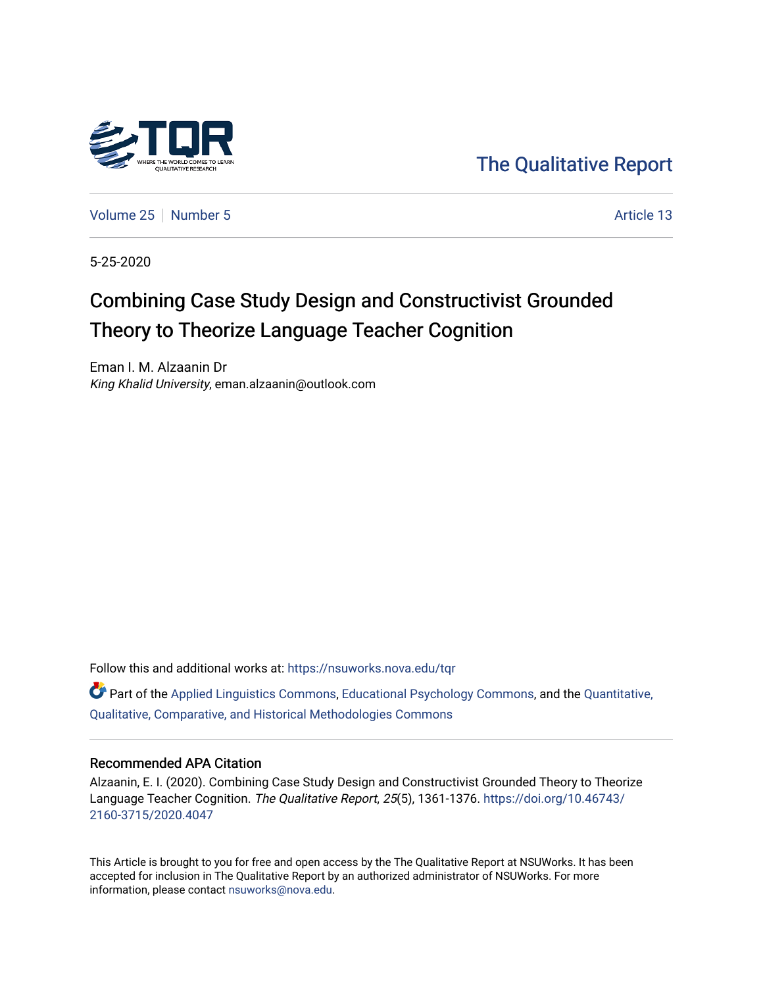

[The Qualitative Report](https://nsuworks.nova.edu/tqr) 

[Volume 25](https://nsuworks.nova.edu/tqr/vol25) [Number 5](https://nsuworks.nova.edu/tqr/vol25/iss5) Article 13

5-25-2020

# Combining Case Study Design and Constructivist Grounded Theory to Theorize Language Teacher Cognition

Eman I. M. Alzaanin Dr King Khalid University, eman.alzaanin@outlook.com

Follow this and additional works at: [https://nsuworks.nova.edu/tqr](https://nsuworks.nova.edu/tqr?utm_source=nsuworks.nova.edu%2Ftqr%2Fvol25%2Fiss5%2F13&utm_medium=PDF&utm_campaign=PDFCoverPages) 

 $\bullet$  Part of the [Applied Linguistics Commons,](http://network.bepress.com/hgg/discipline/373?utm_source=nsuworks.nova.edu%2Ftqr%2Fvol25%2Fiss5%2F13&utm_medium=PDF&utm_campaign=PDFCoverPages) [Educational Psychology Commons,](http://network.bepress.com/hgg/discipline/798?utm_source=nsuworks.nova.edu%2Ftqr%2Fvol25%2Fiss5%2F13&utm_medium=PDF&utm_campaign=PDFCoverPages) and the [Quantitative,](http://network.bepress.com/hgg/discipline/423?utm_source=nsuworks.nova.edu%2Ftqr%2Fvol25%2Fiss5%2F13&utm_medium=PDF&utm_campaign=PDFCoverPages) [Qualitative, Comparative, and Historical Methodologies Commons](http://network.bepress.com/hgg/discipline/423?utm_source=nsuworks.nova.edu%2Ftqr%2Fvol25%2Fiss5%2F13&utm_medium=PDF&utm_campaign=PDFCoverPages) 

#### Recommended APA Citation

Alzaanin, E. I. (2020). Combining Case Study Design and Constructivist Grounded Theory to Theorize Language Teacher Cognition. The Qualitative Report, 25(5), 1361-1376. [https://doi.org/10.46743/](https://doi.org/10.46743/2160-3715/2020.4047) [2160-3715/2020.4047](https://doi.org/10.46743/2160-3715/2020.4047)

This Article is brought to you for free and open access by the The Qualitative Report at NSUWorks. It has been accepted for inclusion in The Qualitative Report by an authorized administrator of NSUWorks. For more information, please contact [nsuworks@nova.edu.](mailto:nsuworks@nova.edu)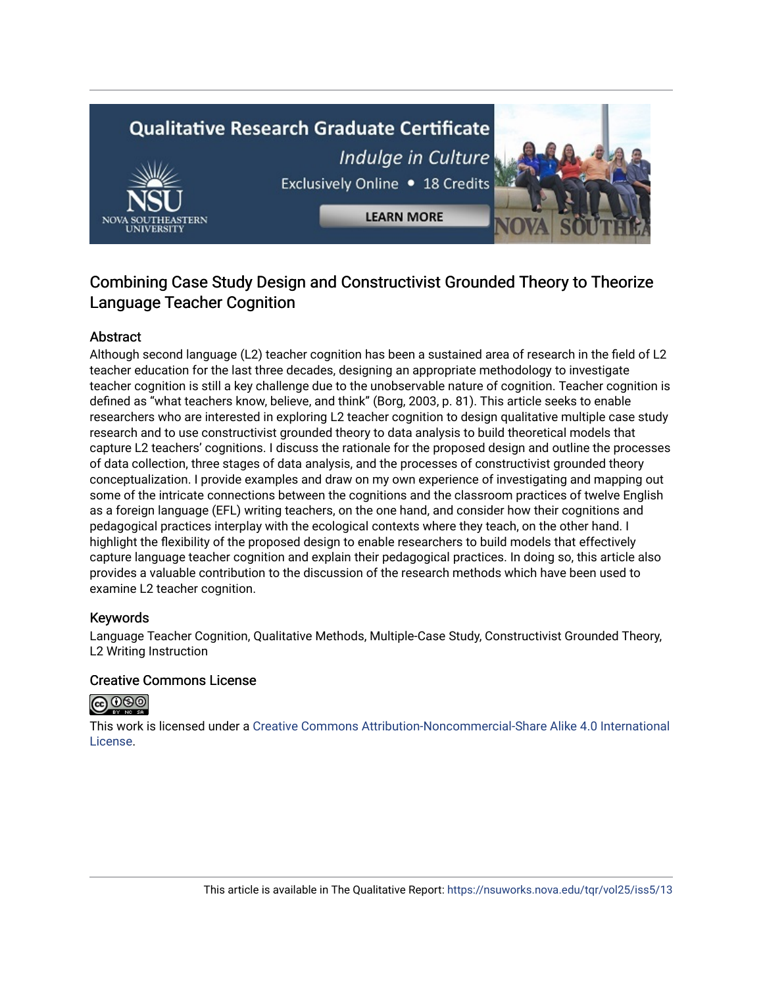# **Qualitative Research Graduate Certificate** Indulge in Culture Exclusively Online . 18 Credits **LEARN MORE**

# Combining Case Study Design and Constructivist Grounded Theory to Theorize Language Teacher Cognition

# Abstract

Although second language (L2) teacher cognition has been a sustained area of research in the field of L2 teacher education for the last three decades, designing an appropriate methodology to investigate teacher cognition is still a key challenge due to the unobservable nature of cognition. Teacher cognition is defined as "what teachers know, believe, and think" (Borg, 2003, p. 81). This article seeks to enable researchers who are interested in exploring L2 teacher cognition to design qualitative multiple case study research and to use constructivist grounded theory to data analysis to build theoretical models that capture L2 teachers' cognitions. I discuss the rationale for the proposed design and outline the processes of data collection, three stages of data analysis, and the processes of constructivist grounded theory conceptualization. I provide examples and draw on my own experience of investigating and mapping out some of the intricate connections between the cognitions and the classroom practices of twelve English as a foreign language (EFL) writing teachers, on the one hand, and consider how their cognitions and pedagogical practices interplay with the ecological contexts where they teach, on the other hand. I highlight the flexibility of the proposed design to enable researchers to build models that effectively capture language teacher cognition and explain their pedagogical practices. In doing so, this article also provides a valuable contribution to the discussion of the research methods which have been used to examine L2 teacher cognition.

# Keywords

Language Teacher Cognition, Qualitative Methods, Multiple-Case Study, Constructivist Grounded Theory, L2 Writing Instruction

# Creative Commons License



This work is licensed under a [Creative Commons Attribution-Noncommercial-Share Alike 4.0 International](https://creativecommons.org/licenses/by-nc-sa/4.0/)  [License](https://creativecommons.org/licenses/by-nc-sa/4.0/).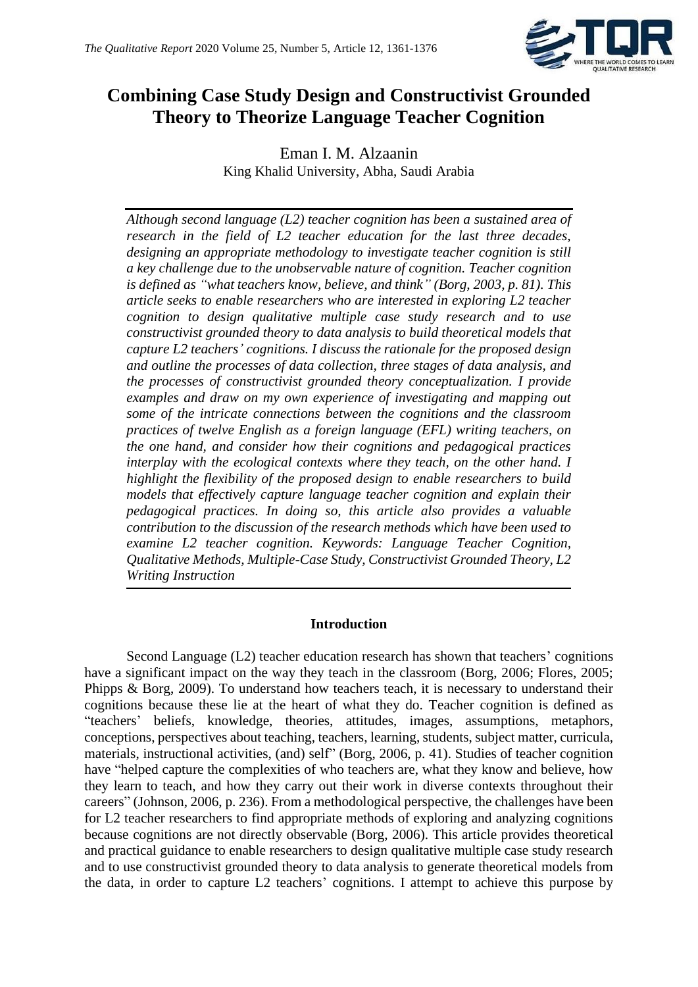

# **Combining Case Study Design and Constructivist Grounded Theory to Theorize Language Teacher Cognition**

Eman I. M. Alzaanin King Khalid University, Abha, Saudi Arabia

*Although second language (L2) teacher cognition has been a sustained area of research in the field of L2 teacher education for the last three decades, designing an appropriate methodology to investigate teacher cognition is still a key challenge due to the unobservable nature of cognition. Teacher cognition is defined as "what teachers know, believe, and think" (Borg, 2003, p. 81). This article seeks to enable researchers who are interested in exploring L2 teacher cognition to design qualitative multiple case study research and to use constructivist grounded theory to data analysis to build theoretical models that capture L2 teachers' cognitions. I discuss the rationale for the proposed design and outline the processes of data collection, three stages of data analysis, and the processes of constructivist grounded theory conceptualization. I provide examples and draw on my own experience of investigating and mapping out some of the intricate connections between the cognitions and the classroom practices of twelve English as a foreign language (EFL) writing teachers, on the one hand, and consider how their cognitions and pedagogical practices interplay with the ecological contexts where they teach, on the other hand. I highlight the flexibility of the proposed design to enable researchers to build models that effectively capture language teacher cognition and explain their pedagogical practices. In doing so, this article also provides a valuable contribution to the discussion of the research methods which have been used to examine L2 teacher cognition. Keywords: Language Teacher Cognition, Qualitative Methods, Multiple-Case Study, Constructivist Grounded Theory, L2 Writing Instruction*

# **Introduction**

Second Language (L2) teacher education research has shown that teachers' cognitions have a significant impact on the way they teach in the classroom (Borg, 2006; Flores, 2005; Phipps & Borg, 2009). To understand how teachers teach, it is necessary to understand their cognitions because these lie at the heart of what they do. Teacher cognition is defined as "teachers' beliefs, knowledge, theories, attitudes, images, assumptions, metaphors, conceptions, perspectives about teaching, teachers, learning, students, subject matter, curricula, materials, instructional activities, (and) self" (Borg, 2006, p. 41). Studies of teacher cognition have "helped capture the complexities of who teachers are, what they know and believe, how they learn to teach, and how they carry out their work in diverse contexts throughout their careers" (Johnson, 2006, p. 236). From a methodological perspective, the challenges have been for L2 teacher researchers to find appropriate methods of exploring and analyzing cognitions because cognitions are not directly observable (Borg, 2006). This article provides theoretical and practical guidance to enable researchers to design qualitative multiple case study research and to use constructivist grounded theory to data analysis to generate theoretical models from the data, in order to capture L2 teachers' cognitions. I attempt to achieve this purpose by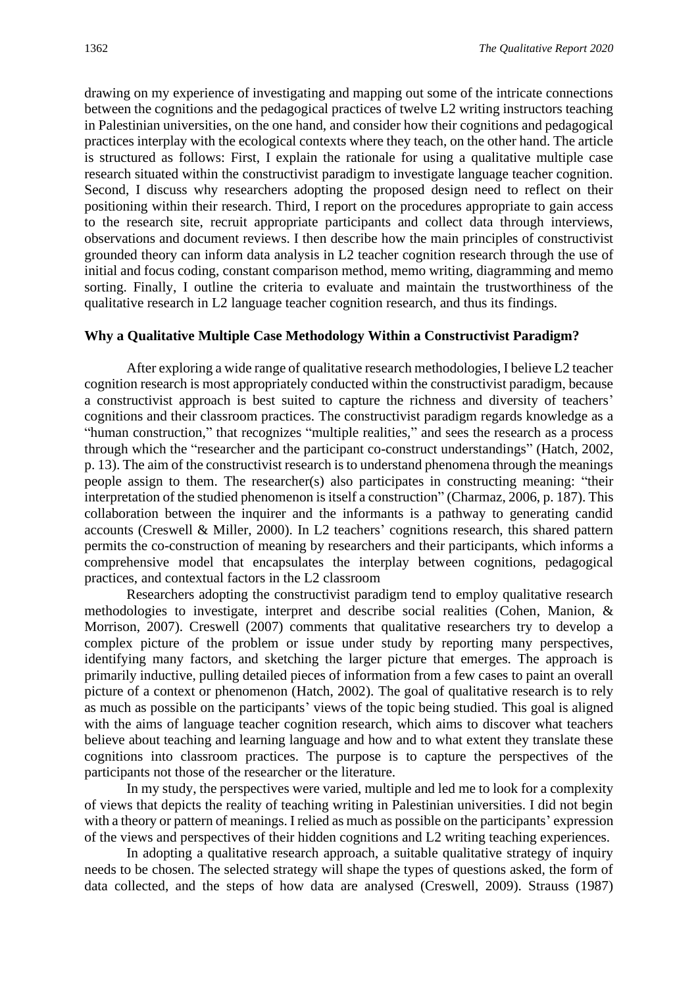drawing on my experience of investigating and mapping out some of the intricate connections between the cognitions and the pedagogical practices of twelve L2 writing instructors teaching in Palestinian universities, on the one hand, and consider how their cognitions and pedagogical practices interplay with the ecological contexts where they teach, on the other hand. The article is structured as follows: First, I explain the rationale for using a qualitative multiple case research situated within the constructivist paradigm to investigate language teacher cognition. Second, I discuss why researchers adopting the proposed design need to reflect on their positioning within their research. Third, I report on the procedures appropriate to gain access to the research site, recruit appropriate participants and collect data through interviews, observations and document reviews. I then describe how the main principles of constructivist grounded theory can inform data analysis in L2 teacher cognition research through the use of initial and focus coding, constant comparison method, memo writing, diagramming and memo sorting. Finally, I outline the criteria to evaluate and maintain the trustworthiness of the qualitative research in L2 language teacher cognition research, and thus its findings.

#### **Why a Qualitative Multiple Case Methodology Within a Constructivist Paradigm?**

After exploring a wide range of qualitative research methodologies, I believe L2 teacher cognition research is most appropriately conducted within the constructivist paradigm, because a constructivist approach is best suited to capture the richness and diversity of teachers' cognitions and their classroom practices. The constructivist paradigm regards knowledge as a "human construction," that recognizes "multiple realities," and sees the research as a process through which the "researcher and the participant co-construct understandings" (Hatch, 2002, p. 13). The aim of the constructivist research is to understand phenomena through the meanings people assign to them. The researcher(s) also participates in constructing meaning: "their interpretation of the studied phenomenon is itself a construction" (Charmaz, 2006, p. 187). This collaboration between the inquirer and the informants is a pathway to generating candid accounts (Creswell & Miller, 2000). In L2 teachers' cognitions research, this shared pattern permits the co-construction of meaning by researchers and their participants, which informs a comprehensive model that encapsulates the interplay between cognitions, pedagogical practices, and contextual factors in the L2 classroom

Researchers adopting the constructivist paradigm tend to employ qualitative research methodologies to investigate, interpret and describe social realities (Cohen, Manion, & Morrison, 2007). Creswell (2007) comments that qualitative researchers try to develop a complex picture of the problem or issue under study by reporting many perspectives, identifying many factors, and sketching the larger picture that emerges. The approach is primarily inductive, pulling detailed pieces of information from a few cases to paint an overall picture of a context or phenomenon (Hatch, 2002). The goal of qualitative research is to rely as much as possible on the participants' views of the topic being studied. This goal is aligned with the aims of language teacher cognition research, which aims to discover what teachers believe about teaching and learning language and how and to what extent they translate these cognitions into classroom practices. The purpose is to capture the perspectives of the participants not those of the researcher or the literature.

In my study, the perspectives were varied, multiple and led me to look for a complexity of views that depicts the reality of teaching writing in Palestinian universities. I did not begin with a theory or pattern of meanings. I relied as much as possible on the participants' expression of the views and perspectives of their hidden cognitions and L2 writing teaching experiences.

In adopting a qualitative research approach, a suitable qualitative strategy of inquiry needs to be chosen. The selected strategy will shape the types of questions asked, the form of data collected, and the steps of how data are analysed (Creswell, 2009). Strauss (1987)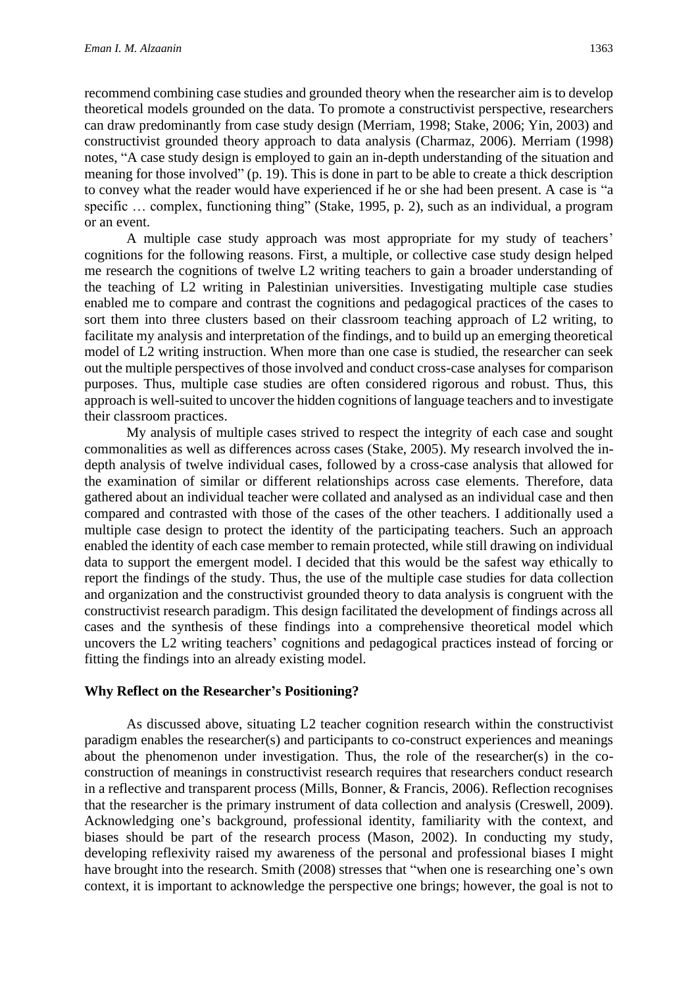recommend combining case studies and grounded theory when the researcher aim is to develop theoretical models grounded on the data. To promote a constructivist perspective, researchers can draw predominantly from case study design (Merriam, 1998; Stake, 2006; Yin, 2003) and constructivist grounded theory approach to data analysis (Charmaz, 2006). Merriam (1998) notes, "A case study design is employed to gain an in-depth understanding of the situation and meaning for those involved" (p. 19). This is done in part to be able to create a thick description to convey what the reader would have experienced if he or she had been present. A case is "a specific ... complex, functioning thing" (Stake, 1995, p. 2), such as an individual, a program or an event.

A multiple case study approach was most appropriate for my study of teachers' cognitions for the following reasons. First, a multiple, or collective case study design helped me research the cognitions of twelve L2 writing teachers to gain a broader understanding of the teaching of L2 writing in Palestinian universities. Investigating multiple case studies enabled me to compare and contrast the cognitions and pedagogical practices of the cases to sort them into three clusters based on their classroom teaching approach of L2 writing, to facilitate my analysis and interpretation of the findings, and to build up an emerging theoretical model of L2 writing instruction. When more than one case is studied, the researcher can seek out the multiple perspectives of those involved and conduct cross-case analyses for comparison purposes. Thus, multiple case studies are often considered rigorous and robust. Thus, this approach is well-suited to uncover the hidden cognitions of language teachers and to investigate their classroom practices.

My analysis of multiple cases strived to respect the integrity of each case and sought commonalities as well as differences across cases (Stake, 2005). My research involved the indepth analysis of twelve individual cases, followed by a cross-case analysis that allowed for the examination of similar or different relationships across case elements. Therefore, data gathered about an individual teacher were collated and analysed as an individual case and then compared and contrasted with those of the cases of the other teachers. I additionally used a multiple case design to protect the identity of the participating teachers. Such an approach enabled the identity of each case member to remain protected, while still drawing on individual data to support the emergent model. I decided that this would be the safest way ethically to report the findings of the study. Thus, the use of the multiple case studies for data collection and organization and the constructivist grounded theory to data analysis is congruent with the constructivist research paradigm. This design facilitated the development of findings across all cases and the synthesis of these findings into a comprehensive theoretical model which uncovers the L2 writing teachers' cognitions and pedagogical practices instead of forcing or fitting the findings into an already existing model.

#### **Why Reflect on the Researcher's Positioning?**

As discussed above, situating L2 teacher cognition research within the constructivist paradigm enables the researcher(s) and participants to co-construct experiences and meanings about the phenomenon under investigation. Thus, the role of the researcher(s) in the coconstruction of meanings in constructivist research requires that researchers conduct research in a reflective and transparent process (Mills, Bonner, & Francis, 2006). Reflection recognises that the researcher is the primary instrument of data collection and analysis (Creswell, 2009). Acknowledging one's background, professional identity, familiarity with the context, and biases should be part of the research process (Mason, 2002). In conducting my study, developing reflexivity raised my awareness of the personal and professional biases I might have brought into the research. Smith (2008) stresses that "when one is researching one's own context, it is important to acknowledge the perspective one brings; however, the goal is not to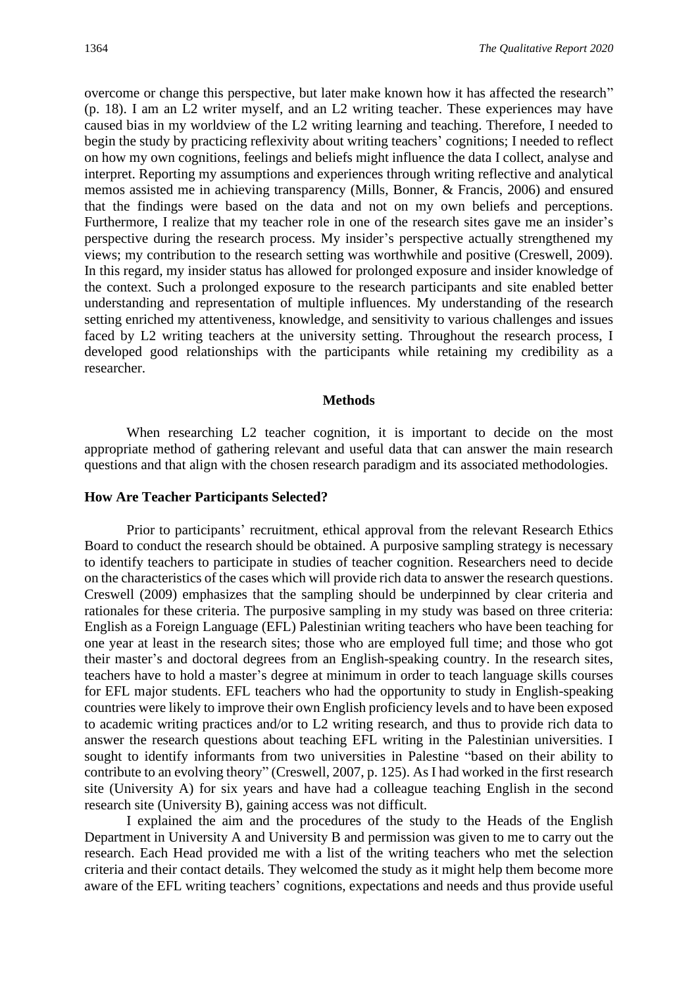overcome or change this perspective, but later make known how it has affected the research" (p. 18). I am an L2 writer myself, and an L2 writing teacher. These experiences may have caused bias in my worldview of the L2 writing learning and teaching. Therefore, I needed to begin the study by practicing reflexivity about writing teachers' cognitions; I needed to reflect on how my own cognitions, feelings and beliefs might influence the data I collect, analyse and interpret. Reporting my assumptions and experiences through writing reflective and analytical memos assisted me in achieving transparency (Mills, Bonner, & Francis, 2006) and ensured that the findings were based on the data and not on my own beliefs and perceptions. Furthermore, I realize that my teacher role in one of the research sites gave me an insider's perspective during the research process. My insider's perspective actually strengthened my views; my contribution to the research setting was worthwhile and positive (Creswell, 2009). In this regard, my insider status has allowed for prolonged exposure and insider knowledge of the context. Such a prolonged exposure to the research participants and site enabled better understanding and representation of multiple influences. My understanding of the research setting enriched my attentiveness, knowledge, and sensitivity to various challenges and issues faced by L2 writing teachers at the university setting. Throughout the research process, I developed good relationships with the participants while retaining my credibility as a researcher.

#### **Methods**

When researching L<sub>2</sub> teacher cognition, it is important to decide on the most appropriate method of gathering relevant and useful data that can answer the main research questions and that align with the chosen research paradigm and its associated methodologies.

#### **How Are Teacher Participants Selected?**

Prior to participants' recruitment, ethical approval from the relevant Research Ethics Board to conduct the research should be obtained. A purposive sampling strategy is necessary to identify teachers to participate in studies of teacher cognition. Researchers need to decide on the characteristics of the cases which will provide rich data to answer the research questions. Creswell (2009) emphasizes that the sampling should be underpinned by clear criteria and rationales for these criteria. The purposive sampling in my study was based on three criteria: English as a Foreign Language (EFL) Palestinian writing teachers who have been teaching for one year at least in the research sites; those who are employed full time; and those who got their master's and doctoral degrees from an English-speaking country. In the research sites, teachers have to hold a master's degree at minimum in order to teach language skills courses for EFL major students. EFL teachers who had the opportunity to study in English-speaking countries were likely to improve their own English proficiency levels and to have been exposed to academic writing practices and/or to L2 writing research, and thus to provide rich data to answer the research questions about teaching EFL writing in the Palestinian universities. I sought to identify informants from two universities in Palestine "based on their ability to contribute to an evolving theory" (Creswell, 2007, p. 125). As I had worked in the first research site (University A) for six years and have had a colleague teaching English in the second research site (University B), gaining access was not difficult.

I explained the aim and the procedures of the study to the Heads of the English Department in University A and University B and permission was given to me to carry out the research. Each Head provided me with a list of the writing teachers who met the selection criteria and their contact details. They welcomed the study as it might help them become more aware of the EFL writing teachers' cognitions, expectations and needs and thus provide useful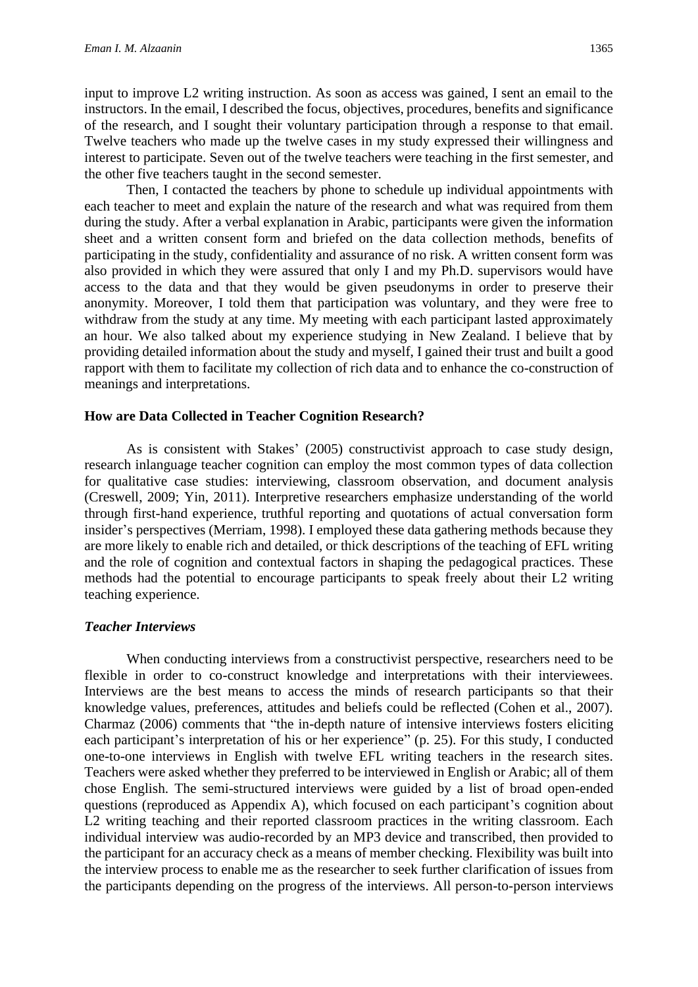input to improve L2 writing instruction. As soon as access was gained, I sent an email to the instructors. In the email, I described the focus, objectives, procedures, benefits and significance of the research, and I sought their voluntary participation through a response to that email. Twelve teachers who made up the twelve cases in my study expressed their willingness and interest to participate. Seven out of the twelve teachers were teaching in the first semester, and the other five teachers taught in the second semester.

Then, I contacted the teachers by phone to schedule up individual appointments with each teacher to meet and explain the nature of the research and what was required from them during the study. After a verbal explanation in Arabic, participants were given the information sheet and a written consent form and briefed on the data collection methods, benefits of participating in the study, confidentiality and assurance of no risk. A written consent form was also provided in which they were assured that only I and my Ph.D. supervisors would have access to the data and that they would be given pseudonyms in order to preserve their anonymity. Moreover, I told them that participation was voluntary, and they were free to withdraw from the study at any time. My meeting with each participant lasted approximately an hour. We also talked about my experience studying in New Zealand. I believe that by providing detailed information about the study and myself, I gained their trust and built a good rapport with them to facilitate my collection of rich data and to enhance the co-construction of meanings and interpretations.

#### **How are Data Collected in Teacher Cognition Research?**

As is consistent with Stakes' (2005) constructivist approach to case study design, research inlanguage teacher cognition can employ the most common types of data collection for qualitative case studies: interviewing, classroom observation, and document analysis (Creswell, 2009; Yin, 2011). Interpretive researchers emphasize understanding of the world through first-hand experience, truthful reporting and quotations of actual conversation form insider's perspectives (Merriam, 1998). I employed these data gathering methods because they are more likely to enable rich and detailed, or thick descriptions of the teaching of EFL writing and the role of cognition and contextual factors in shaping the pedagogical practices. These methods had the potential to encourage participants to speak freely about their L2 writing teaching experience.

#### *Teacher Interviews*

When conducting interviews from a constructivist perspective, researchers need to be flexible in order to co-construct knowledge and interpretations with their interviewees. Interviews are the best means to access the minds of research participants so that their knowledge values, preferences, attitudes and beliefs could be reflected (Cohen et al., 2007). Charmaz (2006) comments that "the in-depth nature of intensive interviews fosters eliciting each participant's interpretation of his or her experience" (p. 25). For this study, I conducted one-to-one interviews in English with twelve EFL writing teachers in the research sites. Teachers were asked whether they preferred to be interviewed in English or Arabic; all of them chose English. The semi-structured interviews were guided by a list of broad open-ended questions (reproduced as Appendix A), which focused on each participant's cognition about L2 writing teaching and their reported classroom practices in the writing classroom. Each individual interview was audio-recorded by an MP3 device and transcribed, then provided to the participant for an accuracy check as a means of member checking. Flexibility was built into the interview process to enable me as the researcher to seek further clarification of issues from the participants depending on the progress of the interviews. All person-to-person interviews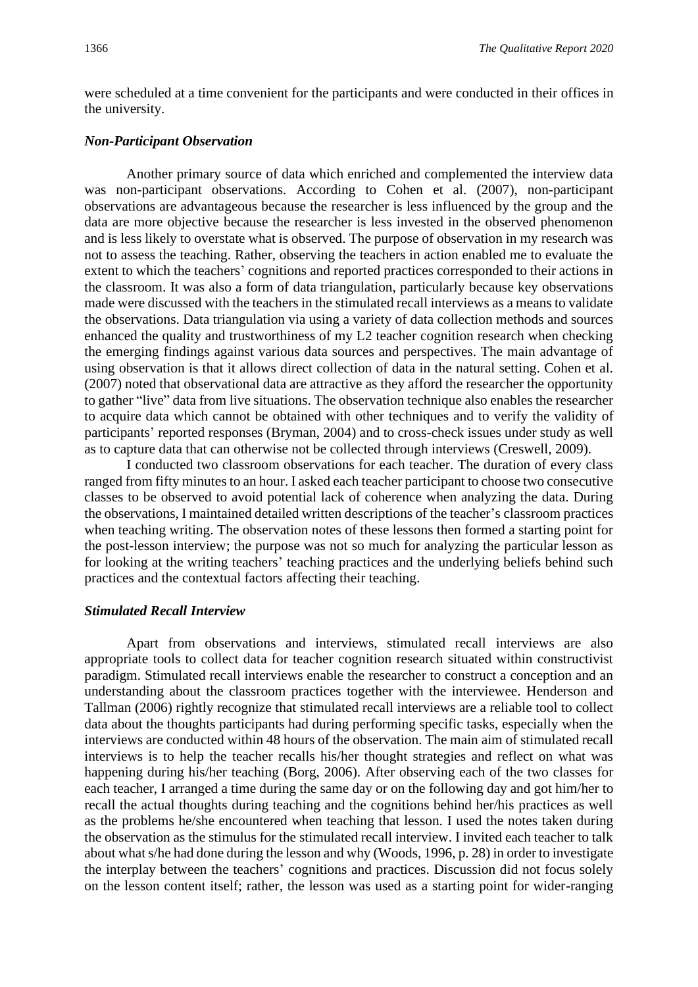were scheduled at a time convenient for the participants and were conducted in their offices in the university.

#### *Non-Participant Observation*

Another primary source of data which enriched and complemented the interview data was non-participant observations. According to Cohen et al. (2007), non-participant observations are advantageous because the researcher is less influenced by the group and the data are more objective because the researcher is less invested in the observed phenomenon and is less likely to overstate what is observed. The purpose of observation in my research was not to assess the teaching. Rather, observing the teachers in action enabled me to evaluate the extent to which the teachers' cognitions and reported practices corresponded to their actions in the classroom. It was also a form of data triangulation, particularly because key observations made were discussed with the teachers in the stimulated recall interviews as a means to validate the observations. Data triangulation via using a variety of data collection methods and sources enhanced the quality and trustworthiness of my L2 teacher cognition research when checking the emerging findings against various data sources and perspectives. The main advantage of using observation is that it allows direct collection of data in the natural setting. Cohen et al. (2007) noted that observational data are attractive as they afford the researcher the opportunity to gather "live" data from live situations. The observation technique also enables the researcher to acquire data which cannot be obtained with other techniques and to verify the validity of participants' reported responses (Bryman, 2004) and to cross-check issues under study as well as to capture data that can otherwise not be collected through interviews (Creswell, 2009).

I conducted two classroom observations for each teacher. The duration of every class ranged from fifty minutes to an hour. I asked each teacher participant to choose two consecutive classes to be observed to avoid potential lack of coherence when analyzing the data. During the observations, I maintained detailed written descriptions of the teacher's classroom practices when teaching writing. The observation notes of these lessons then formed a starting point for the post-lesson interview; the purpose was not so much for analyzing the particular lesson as for looking at the writing teachers' teaching practices and the underlying beliefs behind such practices and the contextual factors affecting their teaching.

### *Stimulated Recall Interview*

Apart from observations and interviews, stimulated recall interviews are also appropriate tools to collect data for teacher cognition research situated within constructivist paradigm. Stimulated recall interviews enable the researcher to construct a conception and an understanding about the classroom practices together with the interviewee. Henderson and Tallman (2006) rightly recognize that stimulated recall interviews are a reliable tool to collect data about the thoughts participants had during performing specific tasks, especially when the interviews are conducted within 48 hours of the observation. The main aim of stimulated recall interviews is to help the teacher recalls his/her thought strategies and reflect on what was happening during his/her teaching (Borg, 2006). After observing each of the two classes for each teacher, I arranged a time during the same day or on the following day and got him/her to recall the actual thoughts during teaching and the cognitions behind her/his practices as well as the problems he/she encountered when teaching that lesson. I used the notes taken during the observation as the stimulus for the stimulated recall interview. I invited each teacher to talk about what s/he had done during the lesson and why (Woods, 1996, p. 28) in order to investigate the interplay between the teachers' cognitions and practices. Discussion did not focus solely on the lesson content itself; rather, the lesson was used as a starting point for wider-ranging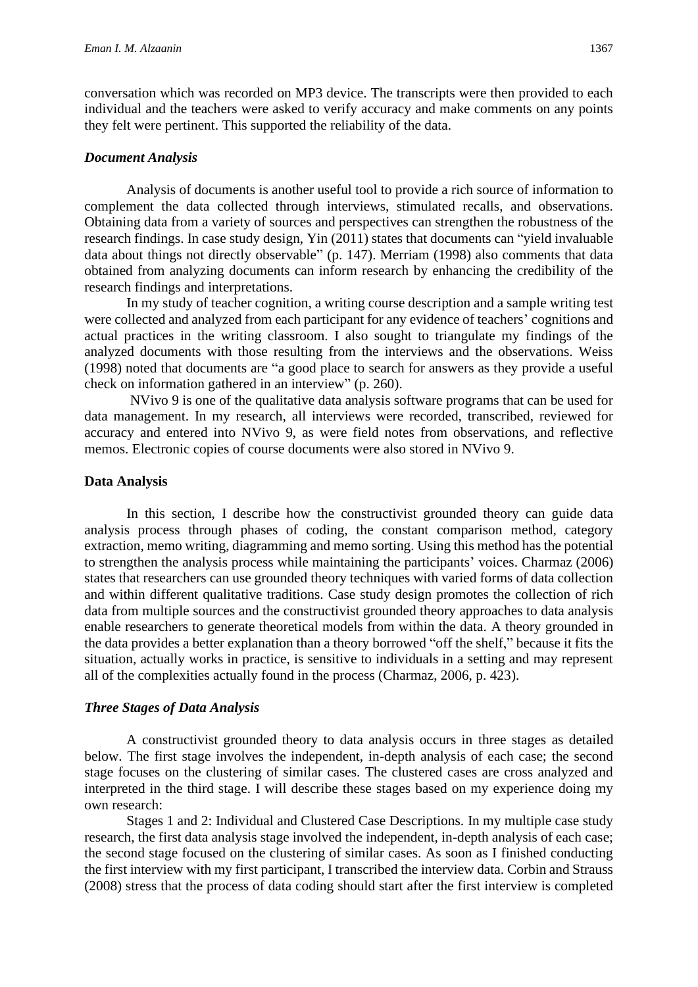conversation which was recorded on MP3 device. The transcripts were then provided to each individual and the teachers were asked to verify accuracy and make comments on any points they felt were pertinent. This supported the reliability of the data.

#### *Document Analysis*

Analysis of documents is another useful tool to provide a rich source of information to complement the data collected through interviews, stimulated recalls, and observations. Obtaining data from a variety of sources and perspectives can strengthen the robustness of the research findings. In case study design, Yin (2011) states that documents can "yield invaluable data about things not directly observable" (p. 147). Merriam (1998) also comments that data obtained from analyzing documents can inform research by enhancing the credibility of the research findings and interpretations.

In my study of teacher cognition, a writing course description and a sample writing test were collected and analyzed from each participant for any evidence of teachers' cognitions and actual practices in the writing classroom. I also sought to triangulate my findings of the analyzed documents with those resulting from the interviews and the observations. Weiss (1998) noted that documents are "a good place to search for answers as they provide a useful check on information gathered in an interview" (p. 260).

NVivo 9 is one of the qualitative data analysis software programs that can be used for data management. In my research, all interviews were recorded, transcribed, reviewed for accuracy and entered into NVivo 9, as were field notes from observations, and reflective memos. Electronic copies of course documents were also stored in NVivo 9.

#### **Data Analysis**

In this section, I describe how the constructivist grounded theory can guide data analysis process through phases of coding, the constant comparison method, category extraction, memo writing, diagramming and memo sorting. Using this method has the potential to strengthen the analysis process while maintaining the participants' voices. Charmaz (2006) states that researchers can use grounded theory techniques with varied forms of data collection and within different qualitative traditions. Case study design promotes the collection of rich data from multiple sources and the constructivist grounded theory approaches to data analysis enable researchers to generate theoretical models from within the data. A theory grounded in the data provides a better explanation than a theory borrowed "off the shelf," because it fits the situation, actually works in practice, is sensitive to individuals in a setting and may represent all of the complexities actually found in the process (Charmaz, 2006, p. 423).

#### *Three Stages of Data Analysis*

A constructivist grounded theory to data analysis occurs in three stages as detailed below. The first stage involves the independent, in-depth analysis of each case; the second stage focuses on the clustering of similar cases. The clustered cases are cross analyzed and interpreted in the third stage. I will describe these stages based on my experience doing my own research:

Stages 1 and 2: Individual and Clustered Case Descriptions. In my multiple case study research, the first data analysis stage involved the independent, in-depth analysis of each case; the second stage focused on the clustering of similar cases. As soon as I finished conducting the first interview with my first participant, I transcribed the interview data. Corbin and Strauss (2008) stress that the process of data coding should start after the first interview is completed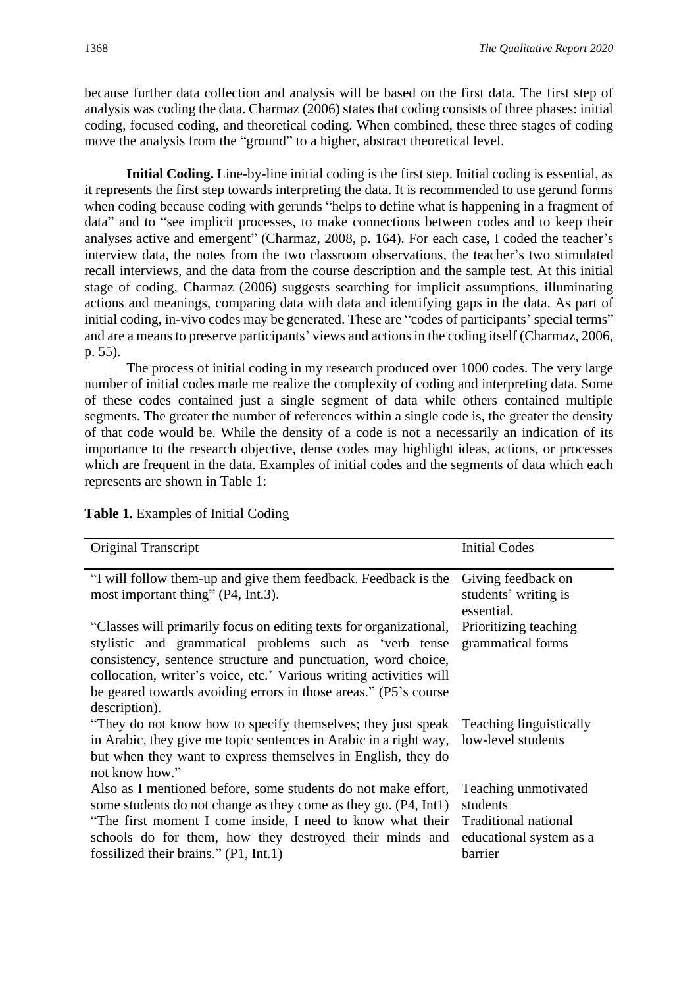because further data collection and analysis will be based on the first data. The first step of analysis was coding the data. Charmaz (2006) states that coding consists of three phases: initial coding, focused coding, and theoretical coding. When combined, these three stages of coding move the analysis from the "ground" to a higher, abstract theoretical level.

**Initial Coding.** Line-by-line initial coding is the first step. Initial coding is essential, as it represents the first step towards interpreting the data. It is recommended to use gerund forms when coding because coding with gerunds "helps to define what is happening in a fragment of data" and to "see implicit processes, to make connections between codes and to keep their analyses active and emergent" (Charmaz, 2008, p. 164). For each case, I coded the teacher's interview data, the notes from the two classroom observations, the teacher's two stimulated recall interviews, and the data from the course description and the sample test. At this initial stage of coding, Charmaz (2006) suggests searching for implicit assumptions, illuminating actions and meanings, comparing data with data and identifying gaps in the data. As part of initial coding, in-vivo codes may be generated. These are "codes of participants' special terms" and are a means to preserve participants' views and actions in the coding itself (Charmaz, 2006, p. 55).

The process of initial coding in my research produced over 1000 codes. The very large number of initial codes made me realize the complexity of coding and interpreting data. Some of these codes contained just a single segment of data while others contained multiple segments. The greater the number of references within a single code is, the greater the density of that code would be. While the density of a code is not a necessarily an indication of its importance to the research objective, dense codes may highlight ideas, actions, or processes which are frequent in the data. Examples of initial codes and the segments of data which each represents are shown in Table 1:

| Table 1. Examples of Initial Coding |  |  |
|-------------------------------------|--|--|
|-------------------------------------|--|--|

| Original Transcript                                                                                                                                                                                                                                                                                                                                     | <b>Initial Codes</b>                                                                           |
|---------------------------------------------------------------------------------------------------------------------------------------------------------------------------------------------------------------------------------------------------------------------------------------------------------------------------------------------------------|------------------------------------------------------------------------------------------------|
| "I will follow them-up and give them feedback. Feedback is the<br>most important thing" (P4, Int.3).                                                                                                                                                                                                                                                    | Giving feedback on<br>students' writing is<br>essential.                                       |
| "Classes will primarily focus on editing texts for organizational,<br>stylistic and grammatical problems such as 'verb tense<br>consistency, sentence structure and punctuation, word choice,<br>collocation, writer's voice, etc.' Various writing activities will<br>be geared towards avoiding errors in those areas." (P5's course<br>description). | Prioritizing teaching<br>grammatical forms                                                     |
| "They do not know how to specify themselves; they just speak<br>in Arabic, they give me topic sentences in Arabic in a right way,<br>but when they want to express themselves in English, they do<br>not know how."                                                                                                                                     | <b>Teaching linguistically</b><br>low-level students                                           |
| Also as I mentioned before, some students do not make effort,<br>some students do not change as they come as they go. (P4, Int1)<br>"The first moment I come inside, I need to know what their<br>schools do for them, how they destroyed their minds and<br>fossilized their brains." $(P1, Int.1)$                                                    | Teaching unmotivated<br>students<br>Traditional national<br>educational system as a<br>barrier |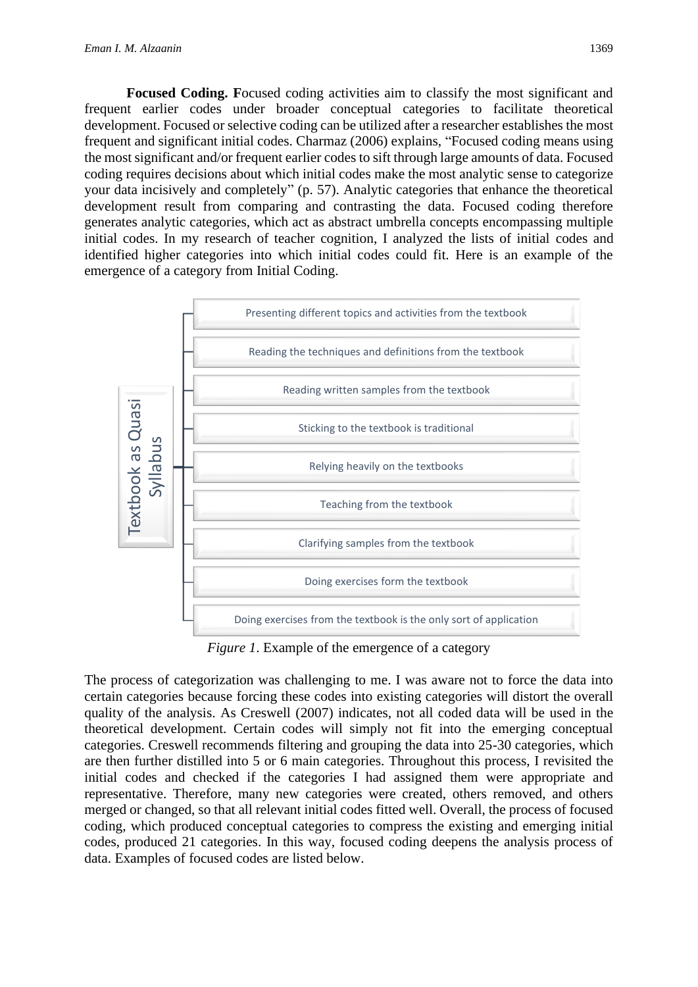**Focused Coding. F**ocused coding activities aim to classify the most significant and frequent earlier codes under broader conceptual categories to facilitate theoretical development. Focused or selective coding can be utilized after a researcher establishes the most frequent and significant initial codes. Charmaz (2006) explains, "Focused coding means using the most significant and/or frequent earlier codes to sift through large amounts of data. Focused coding requires decisions about which initial codes make the most analytic sense to categorize your data incisively and completely" (p. 57). Analytic categories that enhance the theoretical development result from comparing and contrasting the data. Focused coding therefore generates analytic categories, which act as abstract umbrella concepts encompassing multiple initial codes. In my research of teacher cognition, I analyzed the lists of initial codes and identified higher categories into which initial codes could fit. Here is an example of the emergence of a category from Initial Coding.



*Figure 1*. Example of the emergence of a category

The process of categorization was challenging to me. I was aware not to force the data into certain categories because forcing these codes into existing categories will distort the overall quality of the analysis. As Creswell (2007) indicates, not all coded data will be used in the theoretical development. Certain codes will simply not fit into the emerging conceptual categories. Creswell recommends filtering and grouping the data into 25-30 categories, which are then further distilled into 5 or 6 main categories. Throughout this process, I revisited the initial codes and checked if the categories I had assigned them were appropriate and representative. Therefore, many new categories were created, others removed, and others merged or changed, so that all relevant initial codes fitted well. Overall, the process of focused coding, which produced conceptual categories to compress the existing and emerging initial codes, produced 21 categories. In this way, focused coding deepens the analysis process of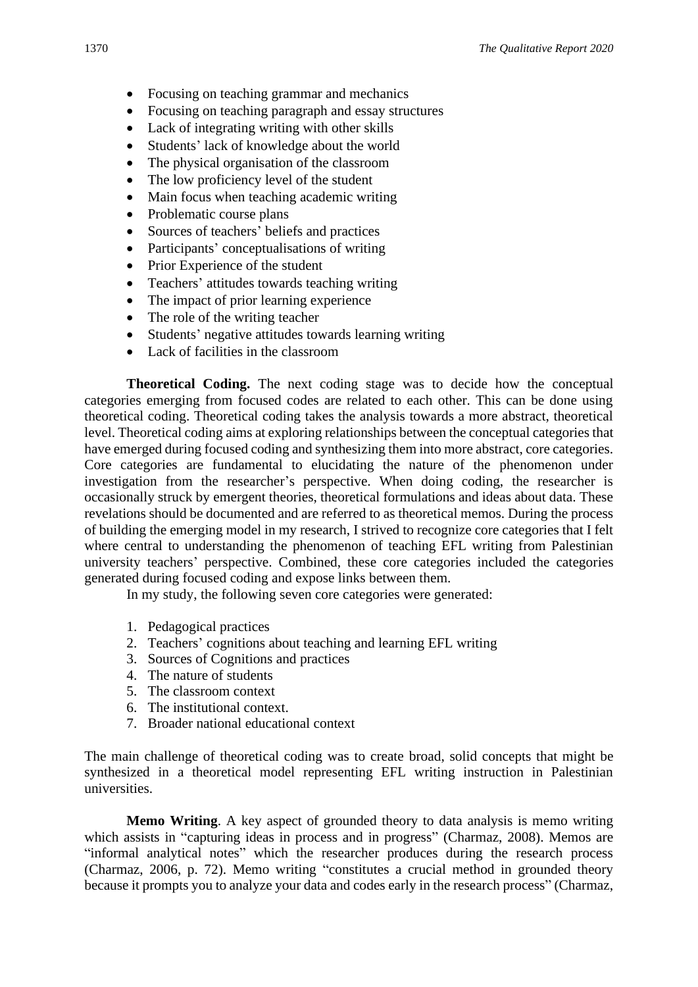- Focusing on teaching grammar and mechanics
- Focusing on teaching paragraph and essay structures
- Lack of integrating writing with other skills
- Students' lack of knowledge about the world
- The physical organisation of the classroom
- The low proficiency level of the student
- Main focus when teaching academic writing
- Problematic course plans
- Sources of teachers' beliefs and practices
- Participants' conceptualisations of writing
- Prior Experience of the student
- Teachers' attitudes towards teaching writing
- The impact of prior learning experience
- The role of the writing teacher
- Students' negative attitudes towards learning writing
- Lack of facilities in the classroom

**Theoretical Coding.** The next coding stage was to decide how the conceptual categories emerging from focused codes are related to each other. This can be done using theoretical coding. Theoretical coding takes the analysis towards a more abstract, theoretical level. Theoretical coding aims at exploring relationships between the conceptual categories that have emerged during focused coding and synthesizing them into more abstract, core categories. Core categories are fundamental to elucidating the nature of the phenomenon under investigation from the researcher's perspective. When doing coding, the researcher is occasionally struck by emergent theories, theoretical formulations and ideas about data. These revelations should be documented and are referred to as theoretical memos. During the process of building the emerging model in my research, I strived to recognize core categories that I felt where central to understanding the phenomenon of teaching EFL writing from Palestinian university teachers' perspective. Combined, these core categories included the categories generated during focused coding and expose links between them.

In my study, the following seven core categories were generated:

- 1. Pedagogical practices
- 2. Teachers' cognitions about teaching and learning EFL writing
- 3. Sources of Cognitions and practices
- 4. The nature of students
- 5. The classroom context
- 6. The institutional context.
- 7. Broader national educational context

The main challenge of theoretical coding was to create broad, solid concepts that might be synthesized in a theoretical model representing EFL writing instruction in Palestinian universities.

**Memo Writing**. A key aspect of grounded theory to data analysis is memo writing which assists in "capturing ideas in process and in progress" (Charmaz, 2008). Memos are "informal analytical notes" which the researcher produces during the research process (Charmaz, 2006, p. 72). Memo writing "constitutes a crucial method in grounded theory because it prompts you to analyze your data and codes early in the research process" (Charmaz,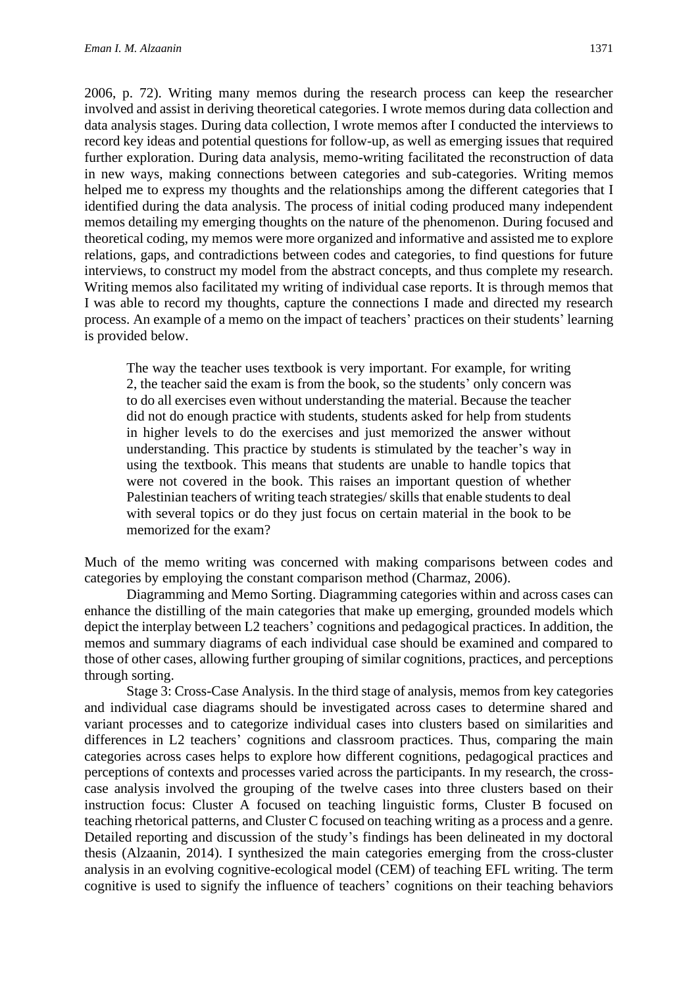2006, p. 72). Writing many memos during the research process can keep the researcher involved and assist in deriving theoretical categories. I wrote memos during data collection and data analysis stages. During data collection, I wrote memos after I conducted the interviews to record key ideas and potential questions for follow-up, as well as emerging issues that required further exploration. During data analysis, memo-writing facilitated the reconstruction of data in new ways, making connections between categories and sub-categories. Writing memos helped me to express my thoughts and the relationships among the different categories that I identified during the data analysis. The process of initial coding produced many independent memos detailing my emerging thoughts on the nature of the phenomenon. During focused and theoretical coding, my memos were more organized and informative and assisted me to explore relations, gaps, and contradictions between codes and categories, to find questions for future interviews, to construct my model from the abstract concepts, and thus complete my research. Writing memos also facilitated my writing of individual case reports. It is through memos that I was able to record my thoughts, capture the connections I made and directed my research process. An example of a memo on the impact of teachers' practices on their students' learning is provided below.

The way the teacher uses textbook is very important. For example, for writing 2, the teacher said the exam is from the book, so the students' only concern was to do all exercises even without understanding the material. Because the teacher did not do enough practice with students, students asked for help from students in higher levels to do the exercises and just memorized the answer without understanding. This practice by students is stimulated by the teacher's way in using the textbook. This means that students are unable to handle topics that were not covered in the book. This raises an important question of whether Palestinian teachers of writing teach strategies/ skills that enable students to deal with several topics or do they just focus on certain material in the book to be memorized for the exam?

Much of the memo writing was concerned with making comparisons between codes and categories by employing the constant comparison method (Charmaz, 2006).

Diagramming and Memo Sorting. Diagramming categories within and across cases can enhance the distilling of the main categories that make up emerging, grounded models which depict the interplay between L2 teachers' cognitions and pedagogical practices. In addition, the memos and summary diagrams of each individual case should be examined and compared to those of other cases, allowing further grouping of similar cognitions, practices, and perceptions through sorting.

Stage 3: Cross-Case Analysis. In the third stage of analysis, memos from key categories and individual case diagrams should be investigated across cases to determine shared and variant processes and to categorize individual cases into clusters based on similarities and differences in L2 teachers' cognitions and classroom practices. Thus, comparing the main categories across cases helps to explore how different cognitions, pedagogical practices and perceptions of contexts and processes varied across the participants. In my research, the crosscase analysis involved the grouping of the twelve cases into three clusters based on their instruction focus: Cluster A focused on teaching linguistic forms, Cluster B focused on teaching rhetorical patterns, and Cluster C focused on teaching writing as a process and a genre. Detailed reporting and discussion of the study's findings has been delineated in my doctoral thesis (Alzaanin, 2014). I synthesized the main categories emerging from the cross-cluster analysis in an evolving cognitive-ecological model (CEM) of teaching EFL writing. The term cognitive is used to signify the influence of teachers' cognitions on their teaching behaviors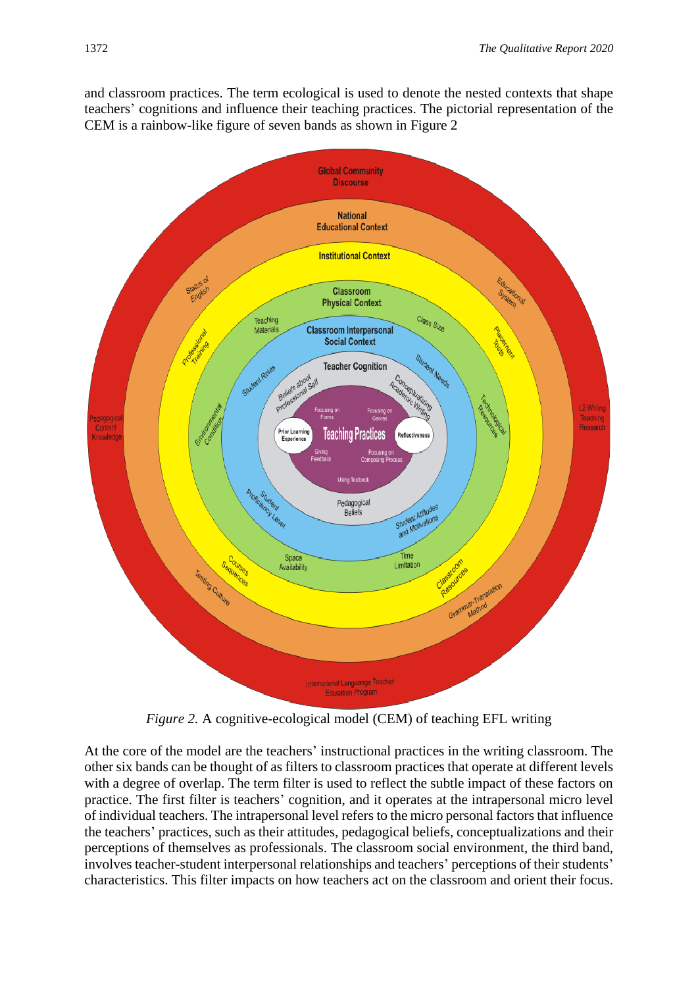and classroom practices. The term ecological is used to denote the nested contexts that shape teachers' cognitions and influence their teaching practices. The pictorial representation of the CEM is a rainbow-like figure of seven bands as shown in Figure 2



*Figure 2.* A cognitive-ecological model (CEM) of teaching EFL writing

At the core of the model are the teachers' instructional practices in the writing classroom. The other six bands can be thought of as filters to classroom practices that operate at different levels with a degree of overlap. The term filter is used to reflect the subtle impact of these factors on practice. The first filter is teachers' cognition, and it operates at the intrapersonal micro level of individual teachers. The intrapersonal level refers to the micro personal factors that influence the teachers' practices, such as their attitudes, pedagogical beliefs, conceptualizations and their perceptions of themselves as professionals. The classroom social environment, the third band, involves teacher-student interpersonal relationships and teachers' perceptions of their students' characteristics. This filter impacts on how teachers act on the classroom and orient their focus.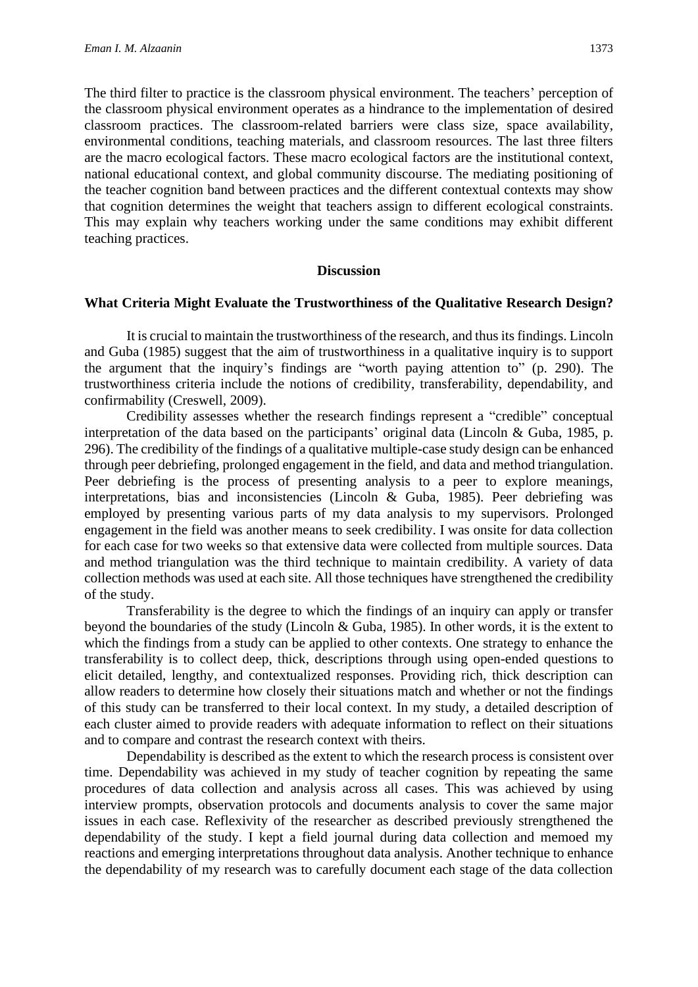The third filter to practice is the classroom physical environment. The teachers' perception of the classroom physical environment operates as a hindrance to the implementation of desired classroom practices. The classroom-related barriers were class size, space availability, environmental conditions, teaching materials, and classroom resources. The last three filters are the macro ecological factors. These macro ecological factors are the institutional context, national educational context, and global community discourse. The mediating positioning of the teacher cognition band between practices and the different contextual contexts may show that cognition determines the weight that teachers assign to different ecological constraints. This may explain why teachers working under the same conditions may exhibit different teaching practices.

#### **Discussion**

#### **What Criteria Might Evaluate the Trustworthiness of the Qualitative Research Design?**

It is crucial to maintain the trustworthiness of the research, and thus its findings. Lincoln and Guba (1985) suggest that the aim of trustworthiness in a qualitative inquiry is to support the argument that the inquiry's findings are "worth paying attention to" (p. 290). The trustworthiness criteria include the notions of credibility, transferability, dependability, and confirmability (Creswell, 2009).

Credibility assesses whether the research findings represent a "credible" conceptual interpretation of the data based on the participants' original data (Lincoln & Guba, 1985, p. 296). The credibility of the findings of a qualitative multiple-case study design can be enhanced through peer debriefing, prolonged engagement in the field, and data and method triangulation. Peer debriefing is the process of presenting analysis to a peer to explore meanings, interpretations, bias and inconsistencies (Lincoln & Guba, 1985). Peer debriefing was employed by presenting various parts of my data analysis to my supervisors. Prolonged engagement in the field was another means to seek credibility. I was onsite for data collection for each case for two weeks so that extensive data were collected from multiple sources. Data and method triangulation was the third technique to maintain credibility. A variety of data collection methods was used at each site. All those techniques have strengthened the credibility of the study.

Transferability is the degree to which the findings of an inquiry can apply or transfer beyond the boundaries of the study (Lincoln & Guba, 1985). In other words, it is the extent to which the findings from a study can be applied to other contexts. One strategy to enhance the transferability is to collect deep, thick, descriptions through using open-ended questions to elicit detailed, lengthy, and contextualized responses. Providing rich, thick description can allow readers to determine how closely their situations match and whether or not the findings of this study can be transferred to their local context. In my study, a detailed description of each cluster aimed to provide readers with adequate information to reflect on their situations and to compare and contrast the research context with theirs.

Dependability is described as the extent to which the research process is consistent over time. Dependability was achieved in my study of teacher cognition by repeating the same procedures of data collection and analysis across all cases. This was achieved by using interview prompts, observation protocols and documents analysis to cover the same major issues in each case. Reflexivity of the researcher as described previously strengthened the dependability of the study. I kept a field journal during data collection and memoed my reactions and emerging interpretations throughout data analysis. Another technique to enhance the dependability of my research was to carefully document each stage of the data collection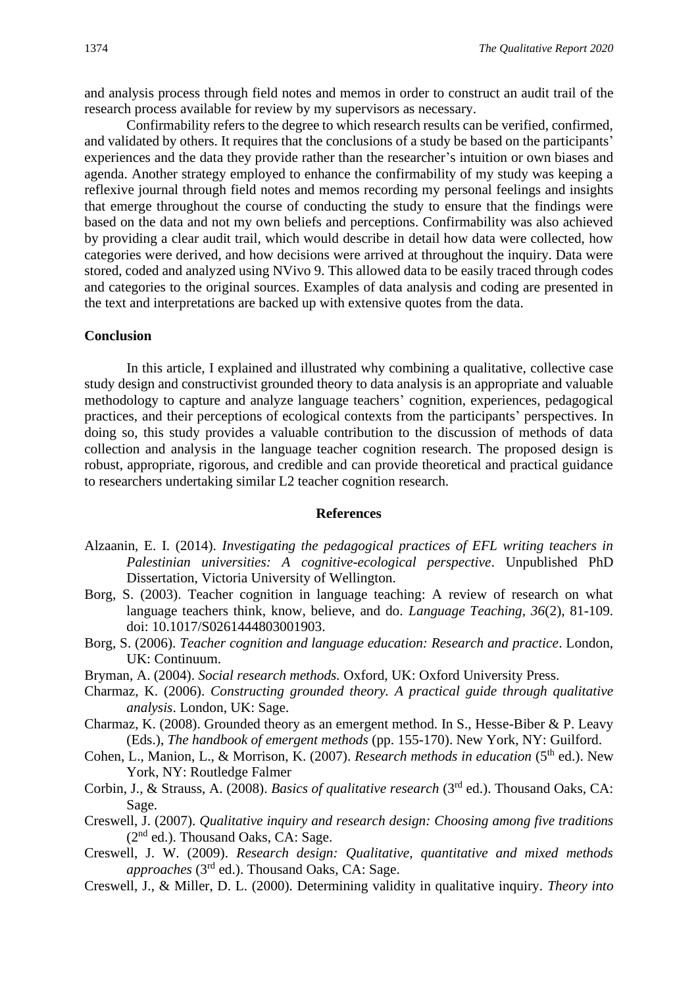and analysis process through field notes and memos in order to construct an audit trail of the research process available for review by my supervisors as necessary.

Confirmability refers to the degree to which research results can be verified, confirmed, and validated by others. It requires that the conclusions of a study be based on the participants' experiences and the data they provide rather than the researcher's intuition or own biases and agenda. Another strategy employed to enhance the confirmability of my study was keeping a reflexive journal through field notes and memos recording my personal feelings and insights that emerge throughout the course of conducting the study to ensure that the findings were based on the data and not my own beliefs and perceptions. Confirmability was also achieved by providing a clear audit trail, which would describe in detail how data were collected, how categories were derived, and how decisions were arrived at throughout the inquiry. Data were stored, coded and analyzed using NVivo 9. This allowed data to be easily traced through codes and categories to the original sources. Examples of data analysis and coding are presented in the text and interpretations are backed up with extensive quotes from the data.

#### **Conclusion**

In this article, I explained and illustrated why combining a qualitative, collective case study design and constructivist grounded theory to data analysis is an appropriate and valuable methodology to capture and analyze language teachers' cognition, experiences, pedagogical practices, and their perceptions of ecological contexts from the participants' perspectives. In doing so, this study provides a valuable contribution to the discussion of methods of data collection and analysis in the language teacher cognition research. The proposed design is robust, appropriate, rigorous, and credible and can provide theoretical and practical guidance to researchers undertaking similar L2 teacher cognition research.

#### **References**

- Alzaanin, E. I. (2014). *Investigating the pedagogical practices of EFL writing teachers in Palestinian universities: A cognitive-ecological perspective*. Unpublished PhD Dissertation, Victoria University of Wellington.
- Borg, S. (2003). Teacher cognition in language teaching: A review of research on what language teachers think, know, believe, and do. *Language Teaching, 36*(2), 81-109. doi: 10.1017/S0261444803001903.
- Borg, S. (2006). *Teacher cognition and language education: Research and practice*. London, UK: Continuum.
- Bryman, A. (2004). *Social research methods.* Oxford, UK: Oxford University Press.
- Charmaz, K. (2006). *Constructing grounded theory. A practical guide through qualitative analysis*. London, UK: Sage.
- Charmaz, K. (2008). Grounded theory as an emergent method. In S., Hesse-Biber & P. Leavy (Eds.), *The handbook of emergent methods* (pp. 155-170). New York, NY: Guilford.
- Cohen, L., Manion, L., & Morrison, K. (2007). *Research methods in education* (5<sup>th</sup> ed.). New York, NY: Routledge Falmer
- Corbin, J., & Strauss, A. (2008). *Basics of qualitative research* (3rd ed.). Thousand Oaks, CA: Sage.
- Creswell, J. (2007). *Qualitative inquiry and research design: Choosing among five traditions*  $(2<sup>nd</sup>$  ed.). Thousand Oaks, CA: Sage.
- Creswell, J. W. (2009). *Research design: Qualitative, quantitative and mixed methods approaches* (3rd ed.). Thousand Oaks, CA: Sage.
- Creswell, J., & Miller, D. L. (2000). Determining validity in qualitative inquiry. *Theory into*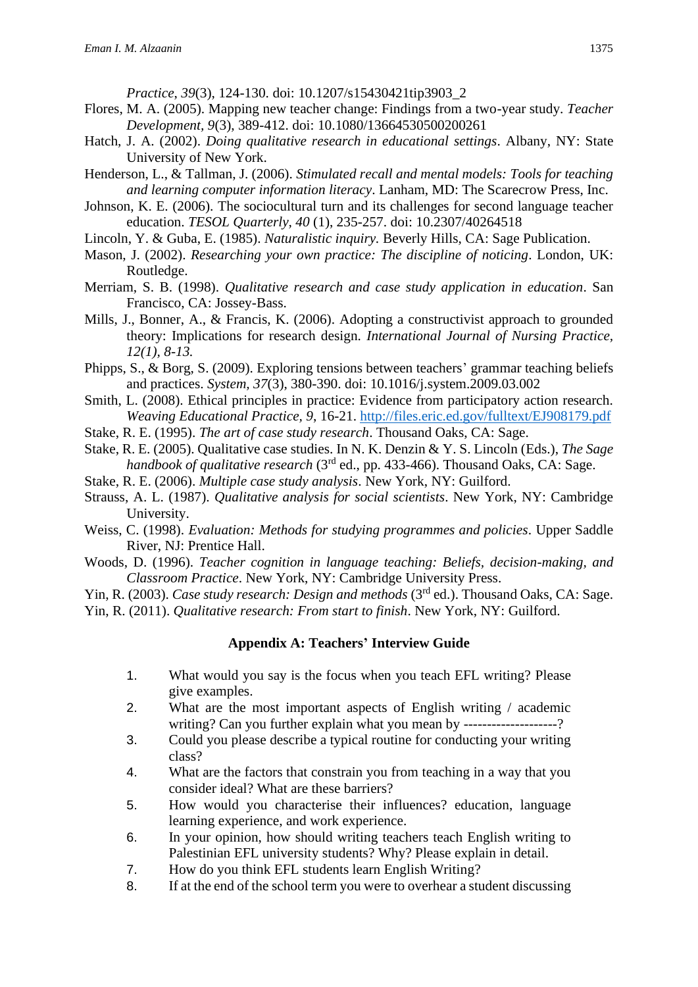*Practice*, *39*(3), 124-130. doi: 10.1207/s15430421tip3903\_2

- Flores, M. A. (2005). Mapping new teacher change: Findings from a two-year study. *Teacher Development, 9*(3), 389-412. doi: 10.1080/13664530500200261
- Hatch, J. A. (2002). *Doing qualitative research in educational settings*. Albany, NY: State University of New York.
- Henderson, L., & Tallman, J. (2006). *Stimulated recall and mental models: Tools for teaching and learning computer information literacy*. Lanham, MD: The Scarecrow Press, Inc.
- Johnson, K. E. (2006). The sociocultural turn and its challenges for second language teacher education. *TESOL Quarterly, 40* (1), 235-257. doi: 10.2307/40264518
- Lincoln, Y. & Guba, E. (1985). *Naturalistic inquiry.* Beverly Hills, CA: Sage Publication.
- Mason, J. (2002). *Researching your own practice: The discipline of noticing*. London, UK: Routledge.
- Merriam, S. B. (1998). *Qualitative research and case study application in education*. San Francisco, CA: Jossey-Bass.
- Mills, J., Bonner, A., & Francis, K. (2006). Adopting a constructivist approach to grounded theory: Implications for research design*. International Journal of Nursing Practice, 12(1), 8-13.*
- Phipps, S., & Borg, S. (2009). Exploring tensions between teachers' grammar teaching beliefs and practices. *System, 37*(3), 380-390. doi: 10.1016/j.system.2009.03.002
- Smith, L. (2008). Ethical principles in practice: Evidence from participatory action research. *Weaving Educational Practice, 9*, 16-21.<http://files.eric.ed.gov/fulltext/EJ908179.pdf>
- Stake, R. E. (1995). *The art of case study research*. Thousand Oaks, CA: Sage.
- Stake, R. E. (2005). Qualitative case studies. In N. K. Denzin & Y. S. Lincoln (Eds.), *The Sage handbook of qualitative research* (3rd ed., pp. 433-466). Thousand Oaks, CA: Sage.
- Stake, R. E. (2006). *Multiple case study analysis*. New York, NY: Guilford.
- Strauss, A. L. (1987). *Qualitative analysis for social scientists*. New York, NY: Cambridge University.
- Weiss, C. (1998). *Evaluation: Methods for studying programmes and policies*. Upper Saddle River, NJ: Prentice Hall.
- Woods, D. (1996). *Teacher cognition in language teaching: Beliefs, decision-making, and Classroom Practice*. New York, NY: Cambridge University Press.
- Yin, R. (2003). *Case study research: Design and methods* (3<sup>rd</sup> ed.). Thousand Oaks, CA: Sage.
- Yin, R. (2011). *Qualitative research: From start to finish*. New York, NY: Guilford.

# **Appendix A: Teachers' Interview Guide**

- 1. What would you say is the focus when you teach EFL writing? Please give examples.
- 2. What are the most important aspects of English writing / academic writing? Can you further explain what you mean by --------------------?
- 3. Could you please describe a typical routine for conducting your writing class?
- 4. What are the factors that constrain you from teaching in a way that you consider ideal? What are these barriers?
- 5. How would you characterise their influences? education, language learning experience, and work experience.
- 6. In your opinion, how should writing teachers teach English writing to Palestinian EFL university students? Why? Please explain in detail.
- 7. How do you think EFL students learn English Writing?
- 8. If at the end of the school term you were to overhear a student discussing